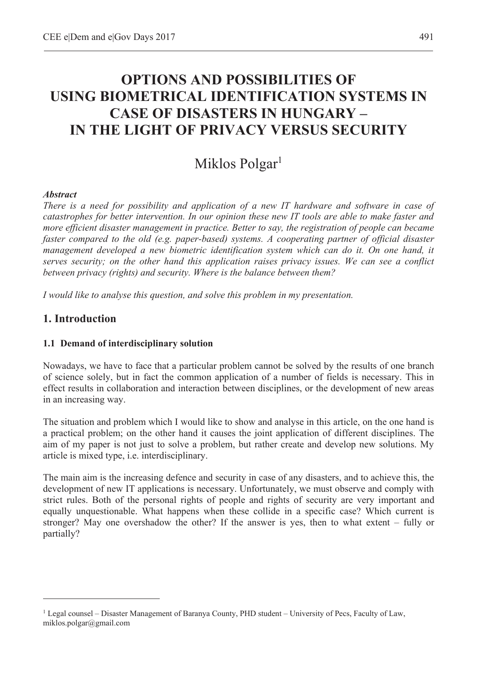# **OPTIONS AND POSSIBILITIES OF USING BIOMETRICAL IDENTIFICATION SYSTEMS IN CASE OF DISASTERS IN HUNGARY – IN THE LIGHT OF PRIVACY VERSUS SECURITY**

# Miklos Polgar<sup>1</sup>

### *Abstract*

*There is a need for possibility and application of a new IT hardware and software in case of catastrophes for better intervention. In our opinion these new IT tools are able to make faster and more efficient disaster management in practice. Better to say, the registration of people can became faster compared to the old (e.g. paper-based) systems. A cooperating partner of official disaster management developed a new biometric identification system which can do it. On one hand, it serves security; on the other hand this application raises privacy issues. We can see a conflict between privacy (rights) and security. Where is the balance between them?* 

*I would like to analyse this question, and solve this problem in my presentation.* 

## **1. Introduction**

 $\overline{a}$ 

#### **1.1 Demand of interdisciplinary solution**

Nowadays, we have to face that a particular problem cannot be solved by the results of one branch of science solely, but in fact the common application of a number of fields is necessary. This in effect results in collaboration and interaction between disciplines, or the development of new areas in an increasing way.

The situation and problem which I would like to show and analyse in this article, on the one hand is a practical problem; on the other hand it causes the joint application of different disciplines. The aim of my paper is not just to solve a problem, but rather create and develop new solutions. My article is mixed type, i.e. interdisciplinary.

The main aim is the increasing defence and security in case of any disasters, and to achieve this, the development of new IT applications is necessary. Unfortunately, we must observe and comply with strict rules. Both of the personal rights of people and rights of security are very important and equally unquestionable. What happens when these collide in a specific case? Which current is stronger? May one overshadow the other? If the answer is yes, then to what extent – fully or partially?

<sup>&</sup>lt;sup>1</sup> Legal counsel – Disaster Management of Baranya County, PHD student – University of Pecs, Faculty of Law, miklos.polgar@gmail.com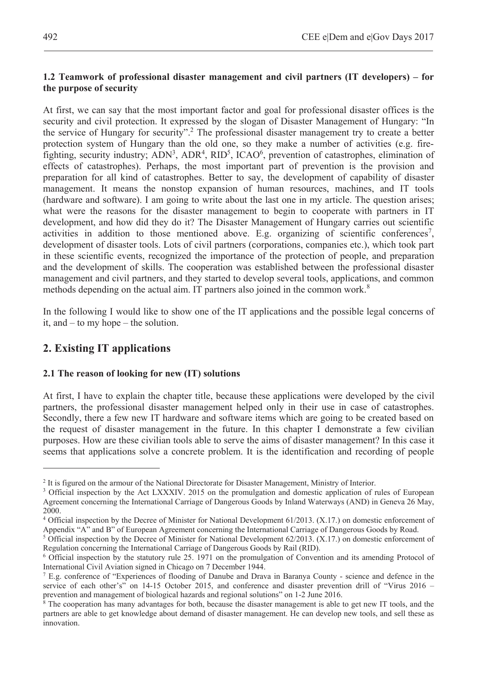## **1.2 Teamwork of professional disaster management and civil partners (IT developers) – for the purpose of security**

At first, we can say that the most important factor and goal for professional disaster offices is the security and civil protection. It expressed by the slogan of Disaster Management of Hungary: "In the service of Hungary for security".<sup>2</sup> The professional disaster management try to create a better protection system of Hungary than the old one, so they make a number of activities (e.g. firefighting, security industry;  $\text{ADN}^3$ ,  $\text{ADR}^4$ ,  $\text{RID}^5$ , ICAO<sup>6</sup>, prevention of catastrophes, elimination of effects of catastrophes). Perhaps, the most important part of prevention is the provision and preparation for all kind of catastrophes. Better to say, the development of capability of disaster management. It means the nonstop expansion of human resources, machines, and IT tools (hardware and software). I am going to write about the last one in my article. The question arises; what were the reasons for the disaster management to begin to cooperate with partners in IT development, and how did they do it? The Disaster Management of Hungary carries out scientific activities in addition to those mentioned above. E.g. organizing of scientific conferences<sup>7</sup>, development of disaster tools. Lots of civil partners (corporations, companies etc.), which took part in these scientific events, recognized the importance of the protection of people, and preparation and the development of skills. The cooperation was established between the professional disaster management and civil partners, and they started to develop several tools, applications, and common methods depending on the actual aim. IT partners also joined in the common work.<sup>8</sup>

In the following I would like to show one of the IT applications and the possible legal concerns of it, and – to my hope – the solution.

## **2. Existing IT applications**

 $\overline{a}$ 

#### **2.1 The reason of looking for new (IT) solutions**

At first, I have to explain the chapter title, because these applications were developed by the civil partners, the professional disaster management helped only in their use in case of catastrophes. Secondly, there a few new IT hardware and software items which are going to be created based on the request of disaster management in the future. In this chapter I demonstrate a few civilian purposes. How are these civilian tools able to serve the aims of disaster management? In this case it seems that applications solve a concrete problem. It is the identification and recording of people

<sup>&</sup>lt;sup>2</sup> It is figured on the armour of the National Directorate for Disaster Management, Ministry of Interior.<br><sup>3</sup> Official inspection by the Act I XXXIV 2015 on the promulgation and domestic application of r

<sup>&</sup>lt;sup>3</sup> Official inspection by the Act LXXXIV. 2015 on the promulgation and domestic application of rules of European Agreement concerning the International Carriage of Dangerous Goods by Inland Waterways (AND) in Geneva 26 May, 2000.

<sup>4</sup> Official inspection by the Decree of Minister for National Development 61/2013. (X.17.) on domestic enforcement of Appendix "A" and B" of European Agreement concerning the International Carriage of Dangerous Goods by Road.

 $5$  Official inspection by the Decree of Minister for National Development 62/2013. (X.17.) on domestic enforcement of Regulation concerning the International Carriage of Dangerous Goods by Rail (RID).

<sup>&</sup>lt;sup>6</sup> Official inspection by the statutory rule 25. 1971 on the promulgation of Convention and its amending Protocol of International Civil Aviation signed in Chicago on 7 December 1944.

<sup>7</sup> E.g. conference of "Experiences of flooding of Danube and Drava in Baranya County - science and defence in the service of each other's" on 14-15 October 2015, and conference and disaster prevention drill of "Virus 2016 – prevention and management of biological hazards and regional solutions" on 1-2 June 2016.

<sup>&</sup>lt;sup>8</sup> The cooperation has many advantages for both, because the disaster management is able to get new IT tools, and the partners are able to get knowledge about demand of disaster management. He can develop new tools, and sell these as innovation.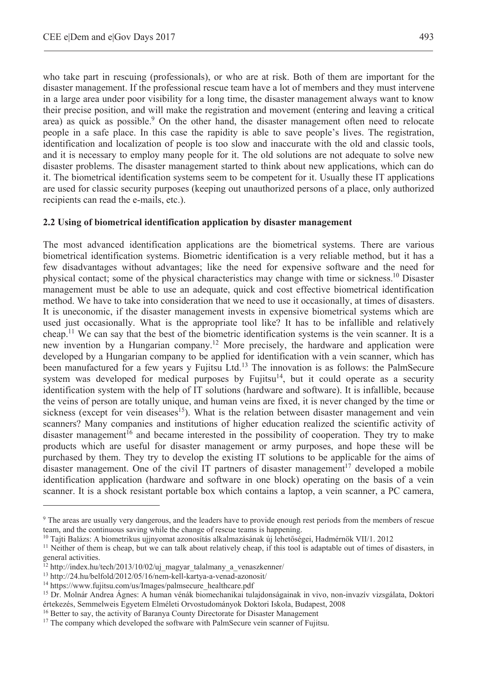who take part in rescuing (professionals), or who are at risk. Both of them are important for the disaster management. If the professional rescue team have a lot of members and they must intervene in a large area under poor visibility for a long time, the disaster management always want to know their precise position, and will make the registration and movement (entering and leaving a critical area) as quick as possible.<sup>9</sup> On the other hand, the disaster management often need to relocate people in a safe place. In this case the rapidity is able to save people's lives. The registration, identification and localization of people is too slow and inaccurate with the old and classic tools, and it is necessary to employ many people for it. The old solutions are not adequate to solve new disaster problems. The disaster management started to think about new applications, which can do it. The biometrical identification systems seem to be competent for it. Usually these IT applications are used for classic security purposes (keeping out unauthorized persons of a place, only authorized recipients can read the e-mails, etc.).

#### **2.2 Using of biometrical identification application by disaster management**

The most advanced identification applications are the biometrical systems. There are various biometrical identification systems. Biometric identification is a very reliable method, but it has a few disadvantages without advantages; like the need for expensive software and the need for physical contact; some of the physical characteristics may change with time or sickness.10 Disaster management must be able to use an adequate, quick and cost effective biometrical identification method. We have to take into consideration that we need to use it occasionally, at times of disasters. It is uneconomic, if the disaster management invests in expensive biometrical systems which are used just occasionally. What is the appropriate tool like? It has to be infallible and relatively cheap.<sup>11</sup> We can say that the best of the biometric identification systems is the vein scanner. It is a new invention by a Hungarian company.12 More precisely, the hardware and application were developed by a Hungarian company to be applied for identification with a vein scanner, which has been manufactured for a few years y Fujitsu Ltd. $<sup>13</sup>$  The innovation is as follows: the PalmSecure</sup> system was developed for medical purposes by Fujitsu<sup>14</sup>, but it could operate as a security identification system with the help of IT solutions (hardware and software). It is infallible, because the veins of person are totally unique, and human veins are fixed, it is never changed by the time or sickness (except for vein diseases<sup>15</sup>). What is the relation between disaster management and vein scanners? Many companies and institutions of higher education realized the scientific activity of disaster management<sup>16</sup> and became interested in the possibility of cooperation. They try to make products which are useful for disaster management or army purposes, and hope these will be purchased by them. They try to develop the existing IT solutions to be applicable for the aims of disaster management. One of the civil IT partners of disaster management<sup>17</sup> developed a mobile identification application (hardware and software in one block) operating on the basis of a vein scanner. It is a shock resistant portable box which contains a laptop, a vein scanner, a PC camera,

<sup>9</sup> The areas are usually very dangerous, and the leaders have to provide enough rest periods from the members of rescue team, and the continuous saving while the change of rescue teams is happening.<br><sup>10</sup> Tajti Balázs: A biometrikus ujjnyomat azonosítás alkalmazásának új lehetőségei, Hadmérnök VII/1. 2012<br><sup>11</sup> Neither of them is cheap, but w

general activities.<br><sup>12</sup> http://index.hu/tech/2013/10/02/uj magyar talalmany a venaszkenner/

<sup>&</sup>lt;sup>13</sup> http://24.hu/belfold/2012/05/16/nem-kell-kartya-a-venad-azonosit/<br><sup>14</sup> https://www.fujitsu.com/us/Images/palmsecure\_healthcare.pdf<br><sup>15</sup> Dr. Molnár Andrea Ágnes: A human vénák biomechanikai tulajdonságainak in vivo, no értekezés, Semmelweis Egyetem Elméleti Orvostudományok Doktori Iskola, Budapest, 2008

<sup>&</sup>lt;sup>16</sup> Better to say, the activity of Baranya County Directorate for Disaster Management

<sup>&</sup>lt;sup>17</sup> The company which developed the software with PalmSecure vein scanner of Fujitsu.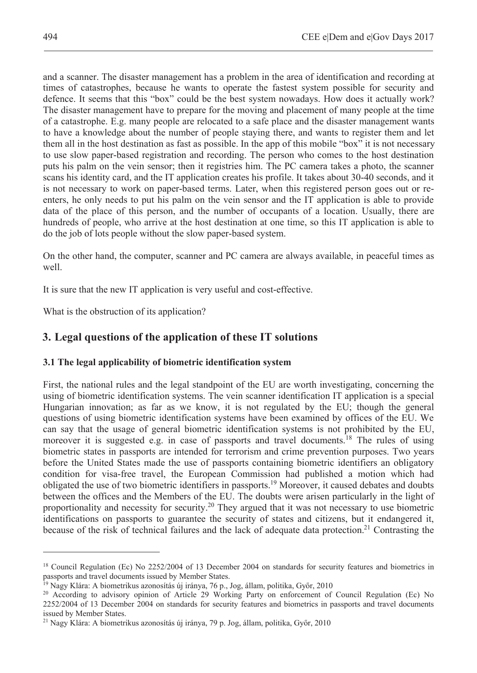and a scanner. The disaster management has a problem in the area of identification and recording at times of catastrophes, because he wants to operate the fastest system possible for security and defence. It seems that this "box" could be the best system nowadays. How does it actually work? The disaster management have to prepare for the moving and placement of many people at the time of a catastrophe. E.g. many people are relocated to a safe place and the disaster management wants to have a knowledge about the number of people staying there, and wants to register them and let them all in the host destination as fast as possible. In the app of this mobile "box" it is not necessary to use slow paper-based registration and recording. The person who comes to the host destination puts his palm on the vein sensor; then it registries him. The PC camera takes a photo, the scanner scans his identity card, and the IT application creates his profile. It takes about 30-40 seconds, and it is not necessary to work on paper-based terms. Later, when this registered person goes out or reenters, he only needs to put his palm on the vein sensor and the IT application is able to provide data of the place of this person, and the number of occupants of a location. Usually, there are hundreds of people, who arrive at the host destination at one time, so this IT application is able to do the job of lots people without the slow paper-based system.

On the other hand, the computer, scanner and PC camera are always available, in peaceful times as well.

It is sure that the new IT application is very useful and cost-effective.

What is the obstruction of its application?

# **3. Legal questions of the application of these IT solutions**

## **3.1 The legal applicability of biometric identification system**

First, the national rules and the legal standpoint of the EU are worth investigating, concerning the using of biometric identification systems. The vein scanner identification IT application is a special Hungarian innovation; as far as we know, it is not regulated by the EU; though the general questions of using biometric identification systems have been examined by offices of the EU. We can say that the usage of general biometric identification systems is not prohibited by the EU, moreover it is suggested e.g. in case of passports and travel documents.<sup>18</sup> The rules of using biometric states in passports are intended for terrorism and crime prevention purposes. Two years before the United States made the use of passports containing biometric identifiers an obligatory condition for visa-free travel, the European Commission had published a motion which had obligated the use of two biometric identifiers in passports.19 Moreover, it caused debates and doubts between the offices and the Members of the EU. The doubts were arisen particularly in the light of proportionality and necessity for security.20 They argued that it was not necessary to use biometric identifications on passports to guarantee the security of states and citizens, but it endangered it, because of the risk of technical failures and the lack of adequate data protection.<sup>21</sup> Contrasting the

<sup>&</sup>lt;sup>18</sup> Council Regulation (Ec) No 2252/2004 of 13 December 2004 on standards for security features and biometrics in passports and travel documents issued by Member States.

<sup>&</sup>lt;sup>19</sup> Nagy Klára: A biometrikus azonosítás új iránya, 76 p., Jog, állam, politika, Győr, 2010<br><sup>20</sup> According to advisory opinion of Article 29 Working Party on enforcement of Council Regulation (Ec) No 2252/2004 of 13 December 2004 on standards for security features and biometrics in passports and travel documents issued by Member States.

<sup>&</sup>lt;sup>21</sup> Nagy Klára: A biometrikus azonosítás új iránya, 79 p. Jog, állam, politika, Győr, 2010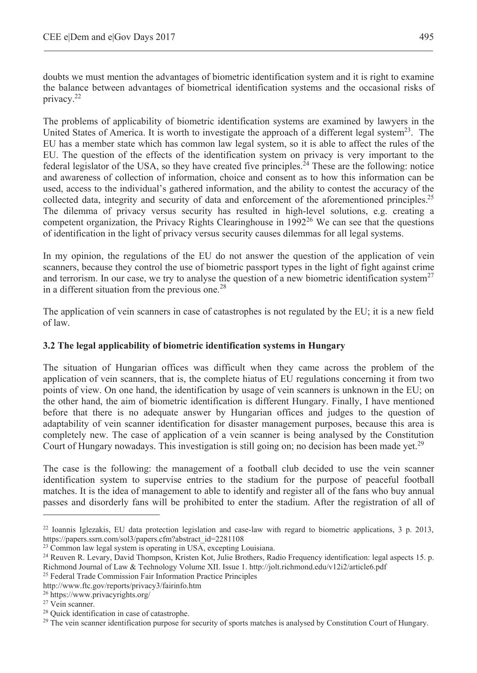doubts we must mention the advantages of biometric identification system and it is right to examine the balance between advantages of biometrical identification systems and the occasional risks of privacy.22

The problems of applicability of biometric identification systems are examined by lawyers in the United States of America. It is worth to investigate the approach of a different legal system<sup>23</sup>. The EU has a member state which has common law legal system, so it is able to affect the rules of the EU. The question of the effects of the identification system on privacy is very important to the federal legislator of the USA, so they have created five principles.<sup>24</sup> These are the following: notice and awareness of collection of information, choice and consent as to how this information can be used, access to the individual's gathered information, and the ability to contest the accuracy of the collected data, integrity and security of data and enforcement of the aforementioned principles.<sup>25</sup> The dilemma of privacy versus security has resulted in high-level solutions, e.g. creating a competent organization, the Privacy Rights Clearinghouse in  $1992^{26}$  We can see that the questions of identification in the light of privacy versus security causes dilemmas for all legal systems.

In my opinion, the regulations of the EU do not answer the question of the application of vein scanners, because they control the use of biometric passport types in the light of fight against crime and terrorism. In our case, we try to analyse the question of a new biometric identification system<sup>27</sup> in a different situation from the previous one. $28$ 

The application of vein scanners in case of catastrophes is not regulated by the EU; it is a new field of law.

## **3.2 The legal applicability of biometric identification systems in Hungary**

The situation of Hungarian offices was difficult when they came across the problem of the application of vein scanners, that is, the complete hiatus of EU regulations concerning it from two points of view. On one hand, the identification by usage of vein scanners is unknown in the EU; on the other hand, the aim of biometric identification is different Hungary. Finally, I have mentioned before that there is no adequate answer by Hungarian offices and judges to the question of adaptability of vein scanner identification for disaster management purposes, because this area is completely new. The case of application of a vein scanner is being analysed by the Constitution Court of Hungary nowadays. This investigation is still going on; no decision has been made yet.<sup>29</sup>

The case is the following: the management of a football club decided to use the vein scanner identification system to supervise entries to the stadium for the purpose of peaceful football matches. It is the idea of management to able to identify and register all of the fans who buy annual passes and disorderly fans will be prohibited to enter the stadium. After the registration of all of

<sup>&</sup>lt;sup>22</sup> Ioannis Iglezakis, EU data protection legislation and case-law with regard to biometric applications, 3 p. 2013, https://papers.ssrn.com/sol3/papers.cfm?abstract id=2281108

<sup>&</sup>lt;sup>23</sup> Common law legal system is operating in USA, excepting Louisiana.<br><sup>24</sup> Reuven R. Levary, David Thompson, Kristen Kot, Julie Brothers, Radio Frequency identification: legal aspects 15. p. Richmond Journal of Law & Technology Volume XII. Issue 1. http://jolt.richmond.edu/v12i2/article6.pdf

<sup>25</sup> Federal Trade Commission Fair Information Practice Principles

http://www.ftc.gov/reports/privacy3/fairinfo.htm<br><sup>26</sup> https://www.privacyrights.org/<br><sup>27</sup> Vein scanner.

<sup>28</sup> Quick identification in case of catastrophe.

<sup>&</sup>lt;sup>29</sup> The vein scanner identification purpose for security of sports matches is analysed by Constitution Court of Hungary.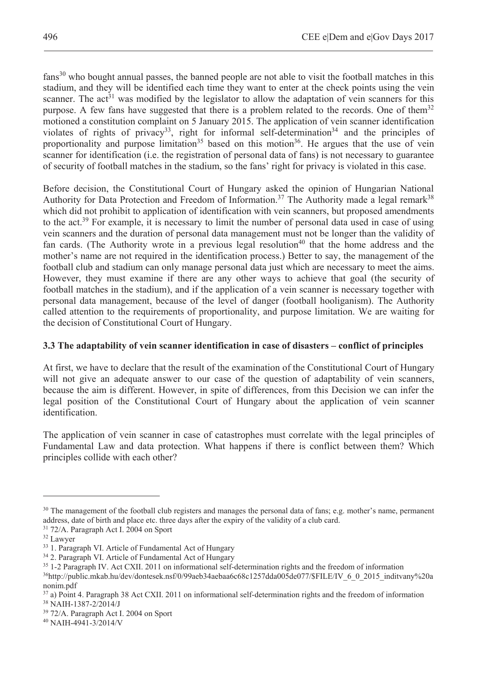fans<sup>30</sup> who bought annual passes, the banned people are not able to visit the football matches in this stadium, and they will be identified each time they want to enter at the check points using the vein scanner. The act<sup>31</sup> was modified by the legislator to allow the adaptation of vein scanners for this purpose. A few fans have suggested that there is a problem related to the records. One of them $32$ motioned a constitution complaint on 5 January 2015. The application of vein scanner identification violates of rights of privacy<sup>33</sup>, right for informal self-determination<sup>34</sup> and the principles of proportionality and purpose limitation<sup>35</sup> based on this motion<sup>36</sup>. He argues that the use of vein scanner for identification (i.e. the registration of personal data of fans) is not necessary to guarantee of security of football matches in the stadium, so the fans' right for privacy is violated in this case.

Before decision, the Constitutional Court of Hungary asked the opinion of Hungarian National Authority for Data Protection and Freedom of Information.<sup>37</sup> The Authority made a legal remark<sup>38</sup> which did not prohibit to application of identification with vein scanners, but proposed amendments to the act.<sup>39</sup> For example, it is necessary to limit the number of personal data used in case of using vein scanners and the duration of personal data management must not be longer than the validity of fan cards. (The Authority wrote in a previous legal resolution<sup>40</sup> that the home address and the mother's name are not required in the identification process.) Better to say, the management of the football club and stadium can only manage personal data just which are necessary to meet the aims. However, they must examine if there are any other ways to achieve that goal (the security of football matches in the stadium), and if the application of a vein scanner is necessary together with personal data management, because of the level of danger (football hooliganism). The Authority called attention to the requirements of proportionality, and purpose limitation. We are waiting for the decision of Constitutional Court of Hungary.

## **3.3 The adaptability of vein scanner identification in case of disasters – conflict of principles**

At first, we have to declare that the result of the examination of the Constitutional Court of Hungary will not give an adequate answer to our case of the question of adaptability of vein scanners, because the aim is different. However, in spite of differences, from this Decision we can infer the legal position of the Constitutional Court of Hungary about the application of vein scanner identification.

The application of vein scanner in case of catastrophes must correlate with the legal principles of Fundamental Law and data protection. What happens if there is conflict between them? Which principles collide with each other?

<sup>&</sup>lt;sup>30</sup> The management of the football club registers and manages the personal data of fans; e.g. mother's name, permanent address, date of birth and place etc. three days after the expiry of the validity of a club card. 31 72/A. Paragraph Act I. 2004 on Sport

<sup>32</sup> Lawyer

<sup>&</sup>lt;sup>33</sup> 1. Paragraph VI. Article of Fundamental Act of Hungary

 $34$  2. Paragraph VI. Article of Fundamental Act of Hungary<br> $35$  1-2 Paragraph IV. Act CXII. 2011 on informational self-determination rights and the freedom of information

<sup>&</sup>lt;sup>36</sup>http://public.mkab.hu/dev/dontesek.nsf/0/99aeb34aebaa6c68c1257dda005de077/\$FILE/IV\_6\_0\_2015\_inditvany%20a nonim.pdf

 $37$  a) Point 4. Paragraph 38 Act CXII. 2011 on informational self-determination rights and the freedom of information  $38$  NAIH-1387-2/2014/J

<sup>39 72/</sup>A. Paragraph Act I. 2004 on Sport

<sup>40</sup> NAIH-4941-3/2014/V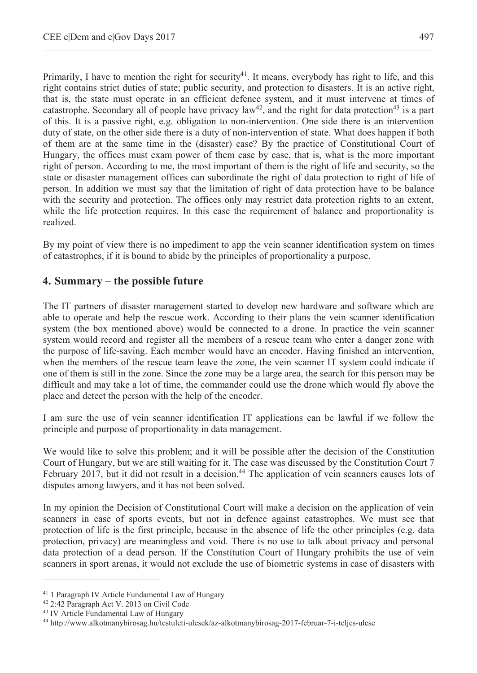Primarily, I have to mention the right for security<sup>41</sup>. It means, everybody has right to life, and this right contains strict duties of state; public security, and protection to disasters. It is an active right, that is, the state must operate in an efficient defence system, and it must intervene at times of catastrophe. Secondary all of people have privacy  $law^{42}$ , and the right for data protection<sup>43</sup> is a part of this. It is a passive right, e.g. obligation to non-intervention. One side there is an intervention duty of state, on the other side there is a duty of non-intervention of state. What does happen if both of them are at the same time in the (disaster) case? By the practice of Constitutional Court of Hungary, the offices must exam power of them case by case, that is, what is the more important right of person. According to me, the most important of them is the right of life and security, so the state or disaster management offices can subordinate the right of data protection to right of life of person. In addition we must say that the limitation of right of data protection have to be balance with the security and protection. The offices only may restrict data protection rights to an extent, while the life protection requires. In this case the requirement of balance and proportionality is realized.

By my point of view there is no impediment to app the vein scanner identification system on times of catastrophes, if it is bound to abide by the principles of proportionality a purpose.

## **4. Summary – the possible future**

The IT partners of disaster management started to develop new hardware and software which are able to operate and help the rescue work. According to their plans the vein scanner identification system (the box mentioned above) would be connected to a drone. In practice the vein scanner system would record and register all the members of a rescue team who enter a danger zone with the purpose of life-saving. Each member would have an encoder. Having finished an intervention, when the members of the rescue team leave the zone, the vein scanner IT system could indicate if one of them is still in the zone. Since the zone may be a large area, the search for this person may be difficult and may take a lot of time, the commander could use the drone which would fly above the place and detect the person with the help of the encoder.

I am sure the use of vein scanner identification IT applications can be lawful if we follow the principle and purpose of proportionality in data management.

We would like to solve this problem; and it will be possible after the decision of the Constitution Court of Hungary, but we are still waiting for it. The case was discussed by the Constitution Court 7 February 2017, but it did not result in a decision.<sup>44</sup> The application of vein scanners causes lots of disputes among lawyers, and it has not been solved.

In my opinion the Decision of Constitutional Court will make a decision on the application of vein scanners in case of sports events, but not in defence against catastrophes. We must see that protection of life is the first principle, because in the absence of life the other principles (e.g. data protection, privacy) are meaningless and void. There is no use to talk about privacy and personal data protection of a dead person. If the Constitution Court of Hungary prohibits the use of vein scanners in sport arenas, it would not exclude the use of biometric systems in case of disasters with

<sup>41 1</sup> Paragraph IV Article Fundamental Law of Hungary

<sup>42 2:42</sup> Paragraph Act V. 2013 on Civil Code

<sup>43</sup> IV Article Fundamental Law of Hungary

<sup>44</sup> http://www.alkotmanybirosag.hu/testuleti-ulesek/az-alkotmanybirosag-2017-februar-7-i-teljes-ulese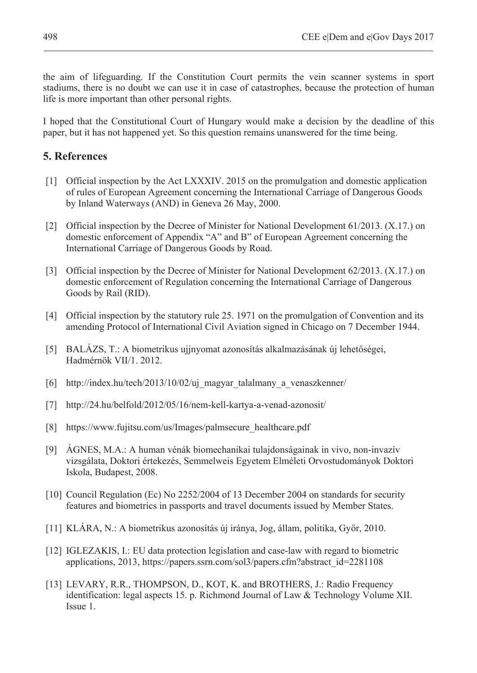the aim of lifeguarding. If the Constitution Court permits the vein scanner systems in sport stadiums, there is no doubt we can use it in case of catastrophes, because the protection of human life is more important than other personal rights.

I hoped that the Constitutional Court of Hungary would make a decision by the deadline of this paper, but it has not happened yet. So this question remains unanswered for the time being.

## **5. References**

- [1] Official inspection by the Act LXXXIV. 2015 on the promulgation and domestic application of rules of European Agreement concerning the International Carriage of Dangerous Goods by Inland Waterways (AND) in Geneva 26 May, 2000.
- [2] Official inspection by the Decree of Minister for National Development 61/2013. (X.17.) on domestic enforcement of Appendix "A" and B" of European Agreement concerning the International Carriage of Dangerous Goods by Road.
- [3] Official inspection by the Decree of Minister for National Development 62/2013. (X.17.) on domestic enforcement of Regulation concerning the International Carriage of Dangerous Goods by Rail (RID).
- [4] Official inspection by the statutory rule 25. 1971 on the promulgation of Convention and its amending Protocol of International Civil Aviation signed in Chicago on 7 December 1944.
- [5] BALÁZS, T.: A biometrikus ujjnyomat azonosítás alkalmazásának új lehetőségei, Hadmérnök VII/1. 2012.
- [6] http://index.hu/tech/2013/10/02/uj\_magyar\_talalmany\_a\_venaszkenner/
- [7] http://24.hu/belfold/2012/05/16/nem-kell-kartya-a-venad-azonosit/
- [8] https://www.fujitsu.com/us/Images/palmsecure\_healthcare.pdf
- [9] ÁGNES, M.A.: A human vénák biomechanikai tulajdonságainak in vivo, non-invazív vizsgálata, Doktori értekezés, Semmelweis Egyetem Elméleti Orvostudományok Doktori Iskola, Budapest, 2008.
- [10] Council Regulation (Ec) No 2252/2004 of 13 December 2004 on standards for security features and biometrics in passports and travel documents issued by Member States.
- [11] KLÁRA, N.: A biometrikus azonosítás új iránya, Jog, állam, politika, GyĘr, 2010.
- [12] IGLEZAKIS, I.: EU data protection legislation and case-law with regard to biometric applications, 2013, https://papers.ssrn.com/sol3/papers.cfm?abstract\_id=2281108
- [13] LEVARY, R.R., THOMPSON, D., KOT, K. and BROTHERS, J.: Radio Frequency identification: legal aspects 15. p. Richmond Journal of Law & Technology Volume XII. Issue 1.